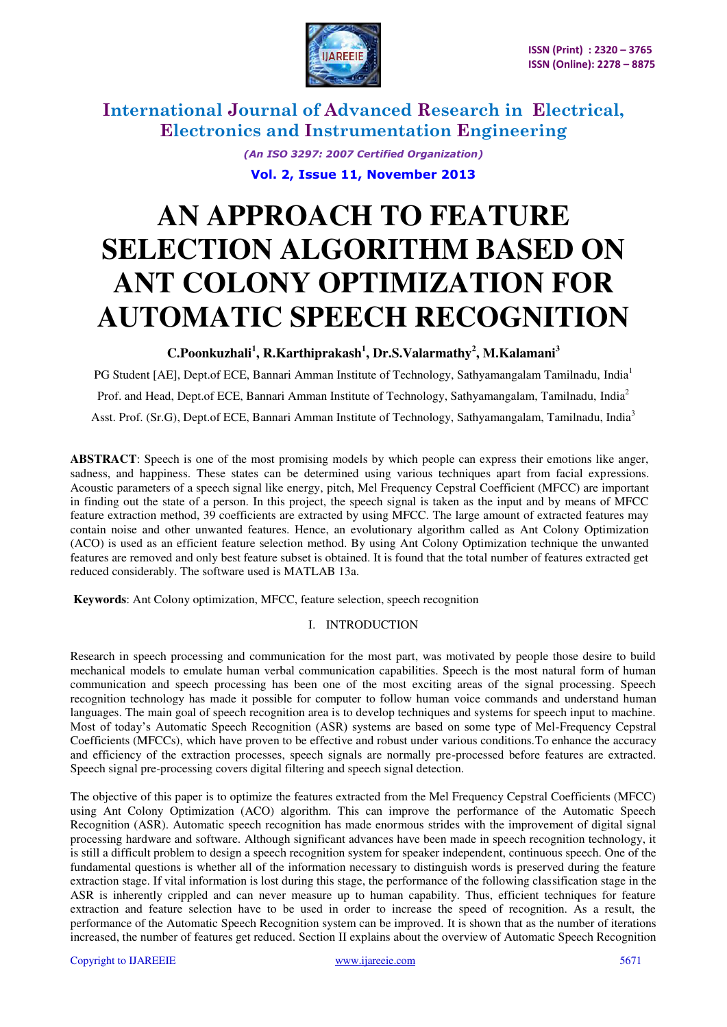

> *(An ISO 3297: 2007 Certified Organization)*  **Vol. 2, Issue 11, November 2013**

# **AN APPROACH TO FEATURE SELECTION ALGORITHM BASED ON ANT COLONY OPTIMIZATION FOR AUTOMATIC SPEECH RECOGNITION**

**C.Poonkuzhali<sup>1</sup> , R.Karthiprakash<sup>1</sup> , Dr.S.Valarmathy<sup>2</sup> , M.Kalamani<sup>3</sup>**

PG Student [AE], Dept.of ECE, Bannari Amman Institute of Technology, Sathyamangalam Tamilnadu, India<sup>1</sup>

Prof. and Head, Dept.of ECE, Bannari Amman Institute of Technology, Sathyamangalam, Tamilnadu, India<sup>2</sup>

Asst. Prof. (Sr.G), Dept.of ECE, Bannari Amman Institute of Technology, Sathyamangalam, Tamilnadu, India<sup>3</sup>

**ABSTRACT**: Speech is one of the most promising models by which people can express their emotions like anger, sadness, and happiness. These states can be determined using various techniques apart from facial expressions. Acoustic parameters of a speech signal like energy, pitch, Mel Frequency Cepstral Coefficient (MFCC) are important in finding out the state of a person. In this project, the speech signal is taken as the input and by means of MFCC feature extraction method, 39 coefficients are extracted by using MFCC. The large amount of extracted features may contain noise and other unwanted features. Hence, an evolutionary algorithm called as Ant Colony Optimization (ACO) is used as an efficient feature selection method. By using Ant Colony Optimization technique the unwanted features are removed and only best feature subset is obtained. It is found that the total number of features extracted get reduced considerably. The software used is MATLAB 13a.

 **Keywords**: Ant Colony optimization, MFCC, feature selection, speech recognition

### I. INTRODUCTION

Research in speech processing and communication for the most part, was motivated by people those desire to build mechanical models to emulate human verbal communication capabilities. Speech is the most natural form of human communication and speech processing has been one of the most exciting areas of the signal processing. Speech recognition technology has made it possible for computer to follow human voice commands and understand human languages. The main goal of speech recognition area is to develop techniques and systems for speech input to machine. Most of today's Automatic Speech Recognition (ASR) systems are based on some type of Mel-Frequency Cepstral Coefficients (MFCCs), which have proven to be effective and robust under various conditions.To enhance the accuracy and efficiency of the extraction processes, speech signals are normally pre-processed before features are extracted. Speech signal pre-processing covers digital filtering and speech signal detection.

The objective of this paper is to optimize the features extracted from the Mel Frequency Cepstral Coefficients (MFCC) using Ant Colony Optimization (ACO) algorithm. This can improve the performance of the Automatic Speech Recognition (ASR). Automatic speech recognition has made enormous strides with the improvement of digital signal processing hardware and software. Although significant advances have been made in speech recognition technology, it is still a difficult problem to design a speech recognition system for speaker independent, continuous speech. One of the fundamental questions is whether all of the information necessary to distinguish words is preserved during the feature extraction stage. If vital information is lost during this stage, the performance of the following classification stage in the ASR is inherently crippled and can never measure up to human capability. Thus, efficient techniques for feature extraction and feature selection have to be used in order to increase the speed of recognition. As a result, the performance of the Automatic Speech Recognition system can be improved. It is shown that as the number of iterations increased, the number of features get reduced. Section II explains about the overview of Automatic Speech Recognition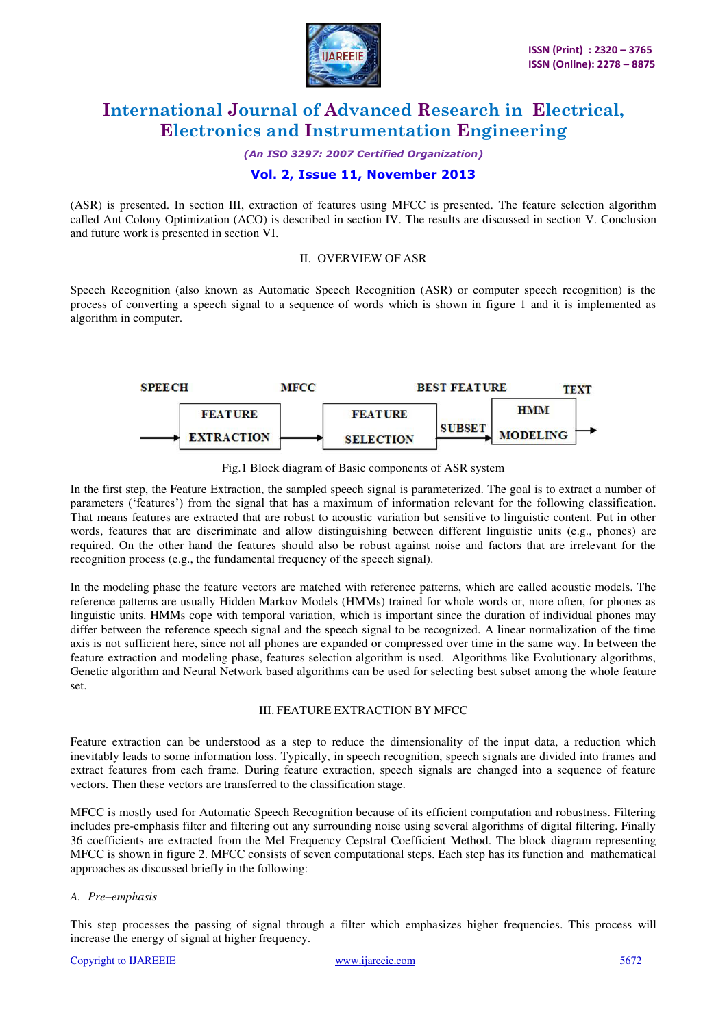

*(An ISO 3297: 2007 Certified Organization)* 

### **Vol. 2, Issue 11, November 2013**

(ASR) is presented. In section III, extraction of features using MFCC is presented. The feature selection algorithm called Ant Colony Optimization (ACO) is described in section IV. The results are discussed in section V. Conclusion and future work is presented in section VI.

#### II. OVERVIEW OF ASR

Speech Recognition (also known as Automatic Speech Recognition (ASR) or computer speech recognition) is the process of converting a speech signal to a sequence of words which is shown in figure 1 and it is implemented as algorithm in computer.





In the first step, the Feature Extraction, the sampled speech signal is parameterized. The goal is to extract a number of parameters ('features') from the signal that has a maximum of information relevant for the following classification. That means features are extracted that are robust to acoustic variation but sensitive to linguistic content. Put in other words, features that are discriminate and allow distinguishing between different linguistic units (e.g., phones) are required. On the other hand the features should also be robust against noise and factors that are irrelevant for the recognition process (e.g., the fundamental frequency of the speech signal).

In the modeling phase the feature vectors are matched with reference patterns, which are called acoustic models. The reference patterns are usually Hidden Markov Models (HMMs) trained for whole words or, more often, for phones as linguistic units. HMMs cope with temporal variation, which is important since the duration of individual phones may differ between the reference speech signal and the speech signal to be recognized. A linear normalization of the time axis is not sufficient here, since not all phones are expanded or compressed over time in the same way. In between the feature extraction and modeling phase, features selection algorithm is used. Algorithms like Evolutionary algorithms, Genetic algorithm and Neural Network based algorithms can be used for selecting best subset among the whole feature set.

#### III. FEATURE EXTRACTION BY MFCC

Feature extraction can be understood as a step to reduce the dimensionality of the input data, a reduction which inevitably leads to some information loss. Typically, in speech recognition, speech signals are divided into frames and extract features from each frame. During feature extraction, speech signals are changed into a sequence of feature vectors. Then these vectors are transferred to the classification stage.

MFCC is mostly used for Automatic Speech Recognition because of its efficient computation and robustness. Filtering includes pre-emphasis filter and filtering out any surrounding noise using several algorithms of digital filtering. Finally 36 coefficients are extracted from the Mel Frequency Cepstral Coefficient Method. The block diagram representing MFCC is shown in figure 2. MFCC consists of seven computational steps. Each step has its function and mathematical approaches as discussed briefly in the following:

#### *A. Pre–emphasis*

This step processes the passing of signal through a filter which emphasizes higher frequencies. This process will increase the energy of signal at higher frequency.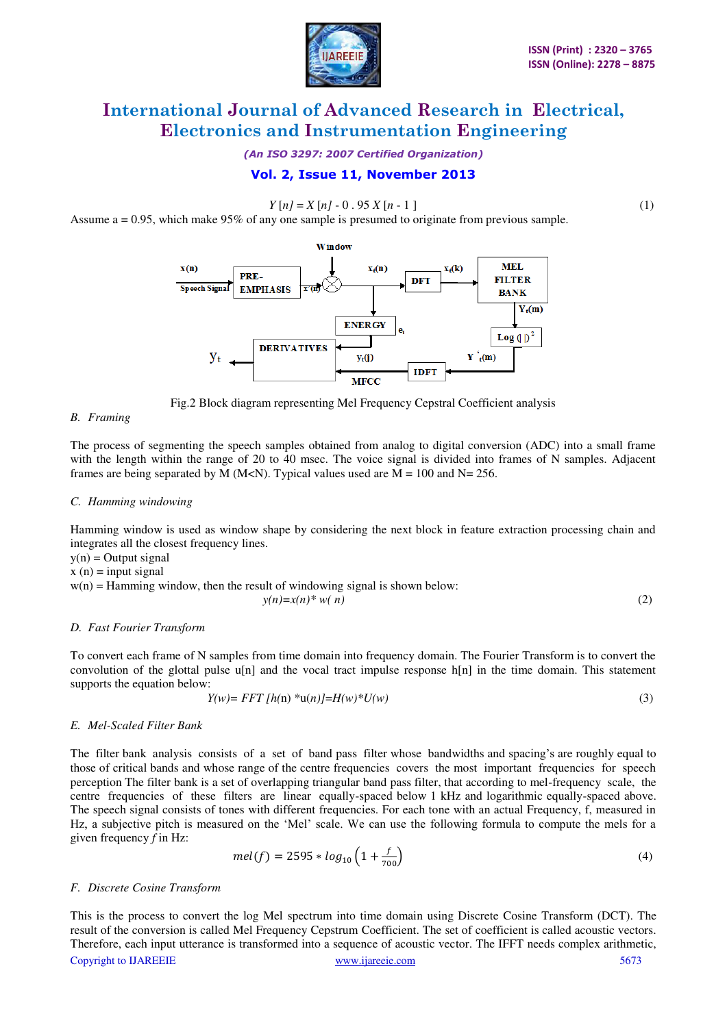

*(An ISO 3297: 2007 Certified Organization)* 

### **Vol. 2, Issue 11, November 2013**

 $Y[n] = X[n] - 0.95 X[n-1]$  (1)

Assume  $a = 0.95$ , which make 95% of any one sample is presumed to originate from previous sample.



Fig.2 Block diagram representing Mel Frequency Cepstral Coefficient analysis

#### *B. Framing*

The process of segmenting the speech samples obtained from analog to digital conversion (ADC) into a small frame with the length within the range of 20 to 40 msec. The voice signal is divided into frames of N samples. Adjacent frames are being separated by M (M<N). Typical values used are  $M = 100$  and  $N = 256$ .

#### *C. Hamming windowing*

Hamming window is used as window shape by considering the next block in feature extraction processing chain and integrates all the closest frequency lines.

 $y(n) =$  Output signal

 $x(n) =$ input signal

 $w(n)$  = Hamming window, then the result of windowing signal is shown below:

$$
y(n)=x(n)^* w(n)
$$
 (2)

#### *D. Fast Fourier Transform*

To convert each frame of N samples from time domain into frequency domain. The Fourier Transform is to convert the convolution of the glottal pulse u[n] and the vocal tract impulse response h[n] in the time domain. This statement supports the equation below:

$$
Y(w) = FFT [h(n) * u(n)] = H(w) * U(w)
$$
\n(3)

#### *E. Mel-Scaled Filter Bank*

The filter bank analysis consists of a set of band pass filter whose bandwidths and spacing's are roughly equal to those of critical bands and whose range of the centre frequencies covers the most important frequencies for speech perception The filter bank is a set of overlapping triangular band pass filter, that according to mel-frequency scale, the centre frequencies of these filters are linear equally-spaced below 1 kHz and logarithmic equally-spaced above. The speech signal consists of tones with different frequencies. For each tone with an actual Frequency, f, measured in Hz, a subjective pitch is measured on the 'Mel' scale. We can use the following formula to compute the mels for a given frequency *f* in Hz:

$$
mel(f) = 2595 * log_{10} \left( 1 + \frac{f}{700} \right) \tag{4}
$$

#### *F. Discrete Cosine Transform*

Copyright to IJAREEIE www.ijareeie.com 5673 This is the process to convert the log Mel spectrum into time domain using Discrete Cosine Transform (DCT). The result of the conversion is called Mel Frequency Cepstrum Coefficient. The set of coefficient is called acoustic vectors. Therefore, each input utterance is transformed into a sequence of acoustic vector. The IFFT needs complex arithmetic,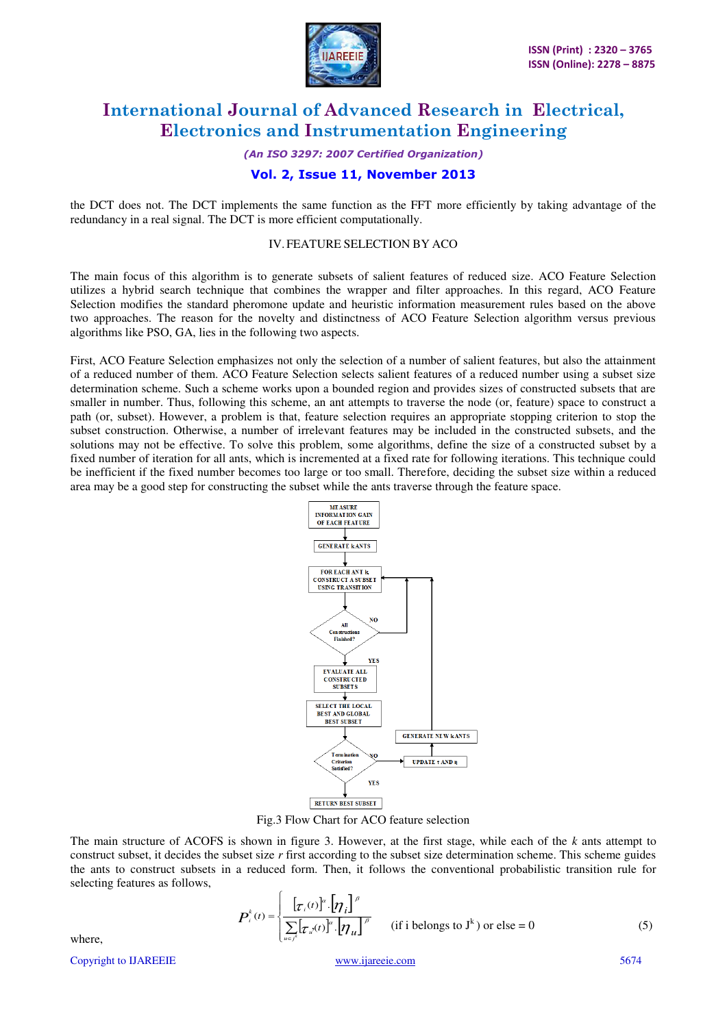

*(An ISO 3297: 2007 Certified Organization)* 

### **Vol. 2, Issue 11, November 2013**

the DCT does not. The DCT implements the same function as the FFT more efficiently by taking advantage of the redundancy in a real signal. The DCT is more efficient computationally.

#### IV.FEATURE SELECTION BY ACO

The main focus of this algorithm is to generate subsets of salient features of reduced size. ACO Feature Selection utilizes a hybrid search technique that combines the wrapper and filter approaches. In this regard, ACO Feature Selection modifies the standard pheromone update and heuristic information measurement rules based on the above two approaches. The reason for the novelty and distinctness of ACO Feature Selection algorithm versus previous algorithms like PSO, GA, lies in the following two aspects.

First, ACO Feature Selection emphasizes not only the selection of a number of salient features, but also the attainment of a reduced number of them. ACO Feature Selection selects salient features of a reduced number using a subset size determination scheme. Such a scheme works upon a bounded region and provides sizes of constructed subsets that are smaller in number. Thus, following this scheme, an ant attempts to traverse the node (or, feature) space to construct a path (or, subset). However, a problem is that, feature selection requires an appropriate stopping criterion to stop the subset construction. Otherwise, a number of irrelevant features may be included in the constructed subsets, and the solutions may not be effective. To solve this problem, some algorithms, define the size of a constructed subset by a fixed number of iteration for all ants, which is incremented at a fixed rate for following iterations. This technique could be inefficient if the fixed number becomes too large or too small. Therefore, deciding the subset size within a reduced area may be a good step for constructing the subset while the ants traverse through the feature space.



Fig.3 Flow Chart for ACO feature selection

The main structure of ACOFS is shown in figure 3. However, at the first stage, while each of the *k* ants attempt to construct subset, it decides the subset size *r* first according to the subset size determination scheme. This scheme guides the ants to construct subsets in a reduced form. Then, it follows the conventional probabilistic transition rule for selecting features as follows,

where,  
\n
$$
P_i^k(t) = \begin{cases}\n\frac{\left[\mathbf{r}_i(t)\right]^{\alpha} \cdot \left[\boldsymbol{\eta}_i\right]^{\beta}}{\sum\limits_{u \in j^k} \left[\mathbf{r}_u(t)\right]^{\alpha} \cdot \left[\boldsymbol{\eta}_u\right]^{\beta}} & \text{(if i belongs to J^k) or else = 0}\n\end{cases}
$$
\n(5)

where,

Copyright to IJAREEIE www.ijareeie.com 5674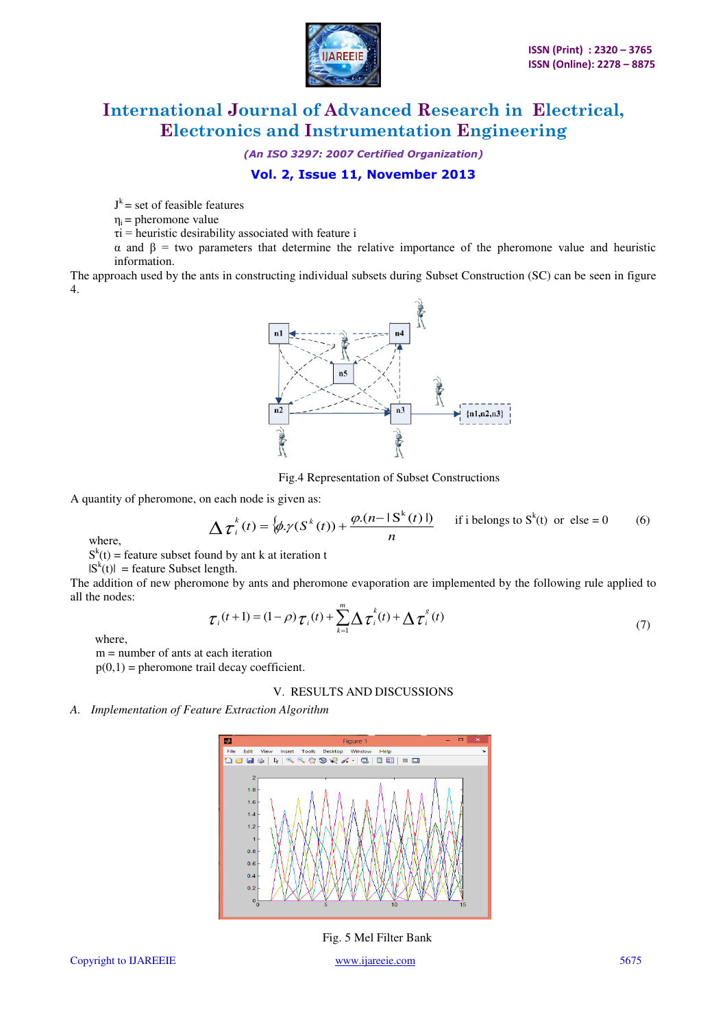

*(An ISO 3297: 2007 Certified Organization)* 

### **Vol. 2, Issue 11, November 2013**

 $J<sup>k</sup>$  = set of feasible features

 $\eta_i$  = pheromone value

 $\tau$ i = heuristic desirability associated with feature i

α and β = two parameters that determine the relative importance of the pheromone value and heuristic information.

The approach used by the ants in constructing individual subsets during Subset Construction (SC) can be seen in figure 4.



Fig.4 Representation of Subset Constructions

A quantity of pheromone, on each node is given as:

where 
$$
\Delta \tau_i^k(t) = \left\{ \phi \cdot \gamma(S^k(t)) + \frac{\phi \cdot (n - |S^k(t)|)}{n} \right\} \text{ if i belongs to } S^k(t) \text{ or else } = 0 \quad (6)
$$

where,

 $S<sup>k</sup>(t)$  = feature subset found by ant k at iteration t

 $|S^{k}(t)|$  = feature Subset length.

The addition of new pheromone by ants and pheromone evaporation are implemented by the following rule applied to all the nodes:

$$
\tau_i(t+1) = (1-\rho)\tau_i(t) + \sum_{k=1}^m \Delta \tau_i^k(t) + \Delta \tau_i^s(t)
$$
\n(7)

where,

m = number of ants at each iteration

 $p(0,1)$  = pheromone trail decay coefficient.

#### V. RESULTS AND DISCUSSIONS

*A. Implementation of Feature Extraction Algorithm* 



Fig. 5 Mel Filter Bank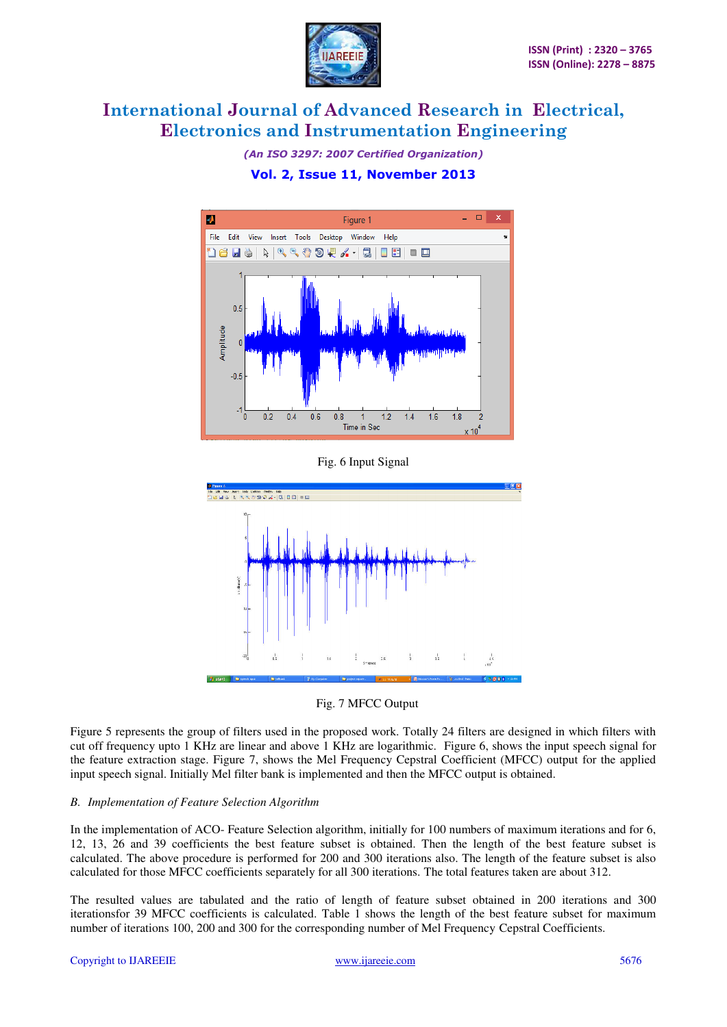

*(An ISO 3297: 2007 Certified Organization)*  **Vol. 2, Issue 11, November 2013** 



Fig. 6 Input Signal



Fig. 7 MFCC Output

Figure 5 represents the group of filters used in the proposed work. Totally 24 filters are designed in which filters with cut off frequency upto 1 KHz are linear and above 1 KHz are logarithmic. Figure 6, shows the input speech signal for the feature extraction stage. Figure 7, shows the Mel Frequency Cepstral Coefficient (MFCC) output for the applied input speech signal. Initially Mel filter bank is implemented and then the MFCC output is obtained.

#### *B. Implementation of Feature Selection Algorithm*

In the implementation of ACO- Feature Selection algorithm, initially for 100 numbers of maximum iterations and for 6, 12, 13, 26 and 39 coefficients the best feature subset is obtained. Then the length of the best feature subset is calculated. The above procedure is performed for 200 and 300 iterations also. The length of the feature subset is also calculated for those MFCC coefficients separately for all 300 iterations. The total features taken are about 312.

The resulted values are tabulated and the ratio of length of feature subset obtained in 200 iterations and 300 iterationsfor 39 MFCC coefficients is calculated. Table 1 shows the length of the best feature subset for maximum number of iterations 100, 200 and 300 for the corresponding number of Mel Frequency Cepstral Coefficients.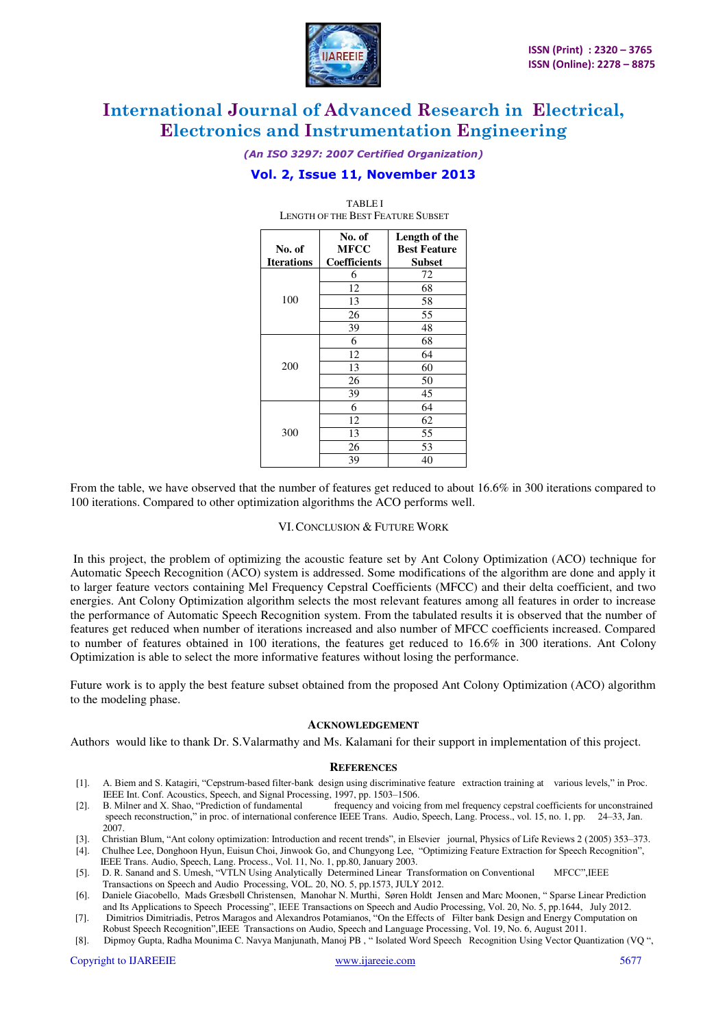

*(An ISO 3297: 2007 Certified Organization)* 

### **Vol. 2, Issue 11, November 2013**

| No. of<br><b>Iterations</b> | No. of<br>MFCC<br>Coefficients | Length of the<br><b>Best Feature</b><br>Subset |
|-----------------------------|--------------------------------|------------------------------------------------|
| 100                         | 6                              | 72                                             |
|                             | 12                             | 68                                             |
|                             | 13                             | 58                                             |
|                             | 26                             | 55                                             |
|                             | 39                             | 48                                             |
| 200                         | 6                              | 68                                             |
|                             | 12                             | 64                                             |
|                             | 13                             | 60                                             |
|                             | 26                             | 50                                             |
|                             | 39                             | 45                                             |
| 300                         | 6                              | 64                                             |
|                             | 12                             | 62                                             |
|                             | 13                             | 55                                             |
|                             | 26                             | 53                                             |
|                             | 39                             | 40                                             |

TABLE I LENGTH OF THE BEST FEATURE SUBSET

From the table, we have observed that the number of features get reduced to about 16.6% in 300 iterations compared to 100 iterations. Compared to other optimization algorithms the ACO performs well.

#### VI.CONCLUSION & FUTURE WORK

 In this project, the problem of optimizing the acoustic feature set by Ant Colony Optimization (ACO) technique for Automatic Speech Recognition (ACO) system is addressed. Some modifications of the algorithm are done and apply it to larger feature vectors containing Mel Frequency Cepstral Coefficients (MFCC) and their delta coefficient, and two energies. Ant Colony Optimization algorithm selects the most relevant features among all features in order to increase the performance of Automatic Speech Recognition system. From the tabulated results it is observed that the number of features get reduced when number of iterations increased and also number of MFCC coefficients increased. Compared to number of features obtained in 100 iterations, the features get reduced to 16.6% in 300 iterations. Ant Colony Optimization is able to select the more informative features without losing the performance.

Future work is to apply the best feature subset obtained from the proposed Ant Colony Optimization (ACO) algorithm to the modeling phase.

#### **ACKNOWLEDGEMENT**

Authors would like to thank Dr. S.Valarmathy and Ms. Kalamani for their support in implementation of this project.

#### **REFERENCES**

- [1]. A. Biem and S. Katagiri, "Cepstrum-based filter-bank design using discriminative feature extraction training at various levels," in Proc.
- IEEE Int. Conf. Acoustics, Speech, and Signal Processing, 1997, pp. 1503–1506.<br>[2]. B. Milner and X. Shao, "Prediction of fundamental frequency and voicing frequency and voicing from mel frequency cepstral coefficients for unconstrained speech reconstruction," in proc. of international conference IEEE Trans. Audio, Speech, Lang. Process., vol. 15, no. 1, pp. 24–33, Jan. 2007.
- [3]. Christian Blum, "Ant colony optimization: Introduction and recent trends", in Elsevier journal, Physics of Life Reviews 2 (2005) 353–373.
- [4]. Chulhee Lee, Donghoon Hyun, Euisun Choi, Jinwook Go, and Chungyong Lee, "Optimizing Feature Extraction for Speech Recognition",
- IEEE Trans. Audio, Speech, Lang. Process., Vol. 11, No. 1, pp.80, January 2003. [5]. D. R. Sanand and S. Umesh, "VTLN Using Analytically Determined Linear Transformation on Conventional MFCC",IEEE
- Transactions on Speech and Audio Processing, VOL. 20, NO. 5, pp.1573, JULY 2012. [6]. Daniele Giacobello, Mads Græsbøll Christensen, Manohar N. Murthi, Søren Holdt Jensen and Marc Moonen, " Sparse Linear Prediction
- and Its Applications to Speech Processing", IEEE Transactions on Speech and Audio Processing, Vol. 20, No. 5, pp.1644, July 2012. [7]. Dimitrios Dimitriadis, Petros Maragos and Alexandros Potamianos, "On the Effects of Filter bank Design and Energy Computation on
- Robust Speech Recognition",IEEE Transactions on Audio, Speech and Language Processing, Vol. 19, No. 6, August 2011. [8]. Dipmoy Gupta, Radha Mounima C. Navya Manjunath, Manoj PB , " Isolated Word Speech Recognition Using Vector Quantization (VQ ",